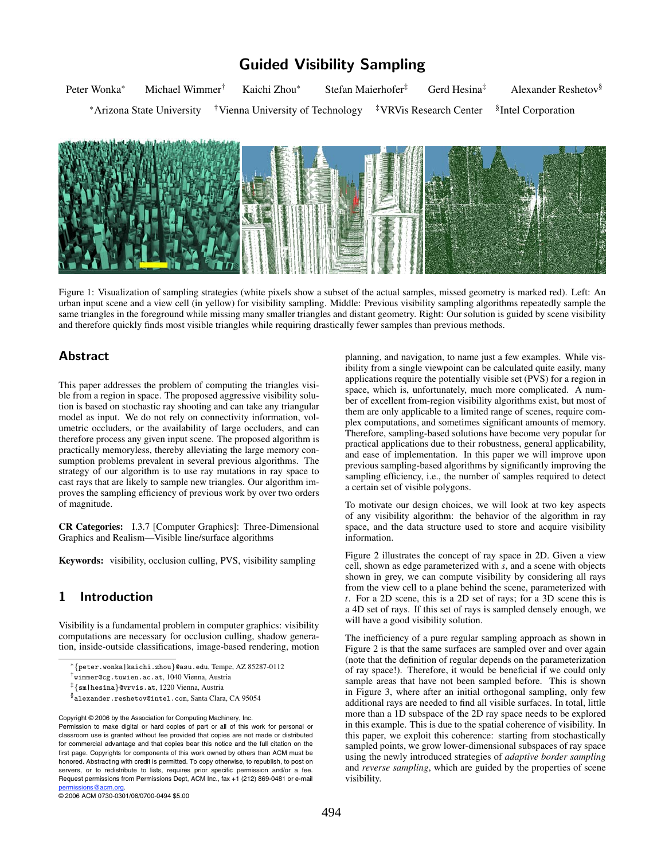# **Guided Visibility Sampling**

Peter Wonka<sup>∗</sup> Michael Wimmer<sup>†</sup> Kaichi Zhou<sup>∗</sup> Stefan Maierhofer<sup>‡</sup> Gerd Hesina<sup>‡</sup> Alexander Reshetov<sup>§</sup> <sup>∗</sup>Arizona State University †Vienna University of Technology ‡VRVis Research Center §Intel Corporation



Figure 1: Visualization of sampling strategies (white pixels show a subset of the actual samples, missed geometry is marked red). Left: An urban input scene and a view cell (in yellow) for visibility sampling. Middle: Previous visibility sampling algorithms repeatedly sample the same triangles in the foreground while missing many smaller triangles and distant geometry. Right: Our solution is guided by scene visibility and therefore quickly finds most visible triangles while requiring drastically fewer samples than previous methods.

## **Abstract**

This paper addresses the problem of computing the triangles visible from a region in space. The proposed aggressive visibility solution is based on stochastic ray shooting and can take any triangular model as input. We do not rely on connectivity information, volumetric occluders, or the availability of large occluders, and can therefore process any given input scene. The proposed algorithm is practically memoryless, thereby alleviating the large memory consumption problems prevalent in several previous algorithms. The strategy of our algorithm is to use ray mutations in ray space to cast rays that are likely to sample new triangles. Our algorithm improves the sampling efficiency of previous work by over two orders of magnitude.

CR Categories: I.3.7 [Computer Graphics]: Three-Dimensional Graphics and Realism—Visible line/surface algorithms

Keywords: visibility, occlusion culling, PVS, visibility sampling

## **1 Introduction**

Visibility is a fundamental problem in computer graphics: visibility computations are necessary for occlusion culling, shadow generation, inside-outside classifications, image-based rendering, motion

© 2006 ACM 0730-0301/06/0700-0494 \$5.00

planning, and navigation, to name just a few examples. While visibility from a single viewpoint can be calculated quite easily, many applications require the potentially visible set (PVS) for a region in space, which is, unfortunately, much more complicated. A number of excellent from-region visibility algorithms exist, but most of them are only applicable to a limited range of scenes, require complex computations, and sometimes significant amounts of memory. Therefore, sampling-based solutions have become very popular for practical applications due to their robustness, general applicability, and ease of implementation. In this paper we will improve upon previous sampling-based algorithms by significantly improving the sampling efficiency, i.e., the number of samples required to detect a certain set of visible polygons.

To motivate our design choices, we will look at two key aspects of any visibility algorithm: the behavior of the algorithm in ray space, and the data structure used to store and acquire visibility information.

Figure 2 illustrates the concept of ray space in 2D. Given a view cell, shown as edge parameterized with *s*, and a scene with objects shown in grey, we can compute visibility by considering all rays from the view cell to a plane behind the scene, parameterized with *t*. For a 2D scene, this is a 2D set of rays; for a 3D scene this is a 4D set of rays. If this set of rays is sampled densely enough, we will have a good visibility solution.

The inefficiency of a pure regular sampling approach as shown in Figure 2 is that the same surfaces are sampled over and over again (note that the definition of regular depends on the parameterization of ray space!). Therefore, it would be beneficial if we could only sample areas that have not been sampled before. This is shown in Figure 3, where after an initial orthogonal sampling, only few additional rays are needed to find all visible surfaces. In total, little more than a 1D subspace of the 2D ray space needs to be explored in this example. This is due to the spatial coherence of visibility. In this paper, we exploit this coherence: starting from stochastically sampled points, we grow lower-dimensional subspaces of ray space using the newly introduced strategies of *adaptive border sampling* and *reverse sampling*, which are guided by the properties of scene visibility.

<sup>∗</sup>*{*peter.wonka|kaichi.zhou*}*@asu.edu, Tempe, AZ 85287-0112

<sup>†</sup>wimmer@cg.tuwien.ac.at, 1040 Vienna, Austria

<sup>‡</sup>*{*sm|hesina*}*@vrvis.at, 1220 Vienna, Austria

<sup>§</sup>alexander.reshetov@intel.com, Santa Clara, CA 95054

Copyright © 2006 by the Association for Computing Machinery, Inc.

Permission to make digital or hard copies of part or all of this work for personal or classroom use is granted without fee provided that copies are not made or distributed for commercial advantage and that copies bear this notice and the full citation on the first page. Copyrights for components of this work owned by others than ACM must be honored. Abstracting with credit is permitted. To copy otherwise, to republish, to post on servers, or to redistribute to lists, requires prior specific permission and/or a fee. Request permissions from Permissions Dept, ACM Inc., fax +1 (212) 869-0481 or e-mail permissions@acm.org.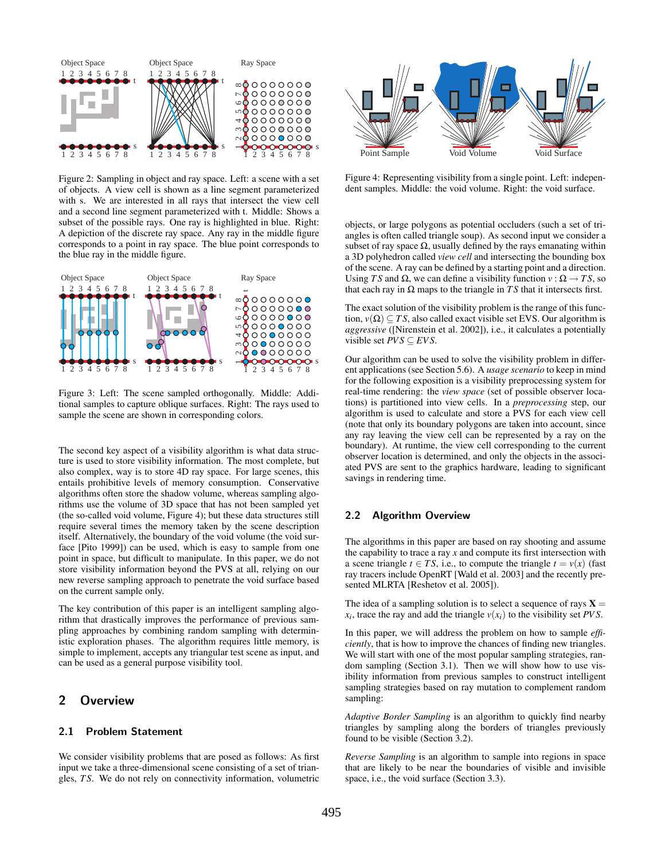

Figure 2: Sampling in object and ray space. Left: a scene with a set of objects. A view cell is shown as a line segment parameterized with s. We are interested in all rays that intersect the view cell and a second line segment parameterized with t. Middle: Shows a subset of the possible rays. One ray is highlighted in blue. Right: A depiction of the discrete ray space. Any ray in the middle figure corresponds to a point in ray space. The blue point corresponds to the blue ray in the middle figure.



Figure 3: Left: The scene sampled orthogonally. Middle: Additional samples to capture oblique surfaces. Right: The rays used to sample the scene are shown in corresponding colors.

The second key aspect of a visibility algorithm is what data structure is used to store visibility information. The most complete, but also complex, way is to store 4D ray space. For large scenes, this entails prohibitive levels of memory consumption. Conservative algorithms often store the shadow volume, whereas sampling algorithms use the volume of 3D space that has not been sampled yet (the so-called void volume, Figure 4); but these data structures still require several times the memory taken by the scene description itself. Alternatively, the boundary of the void volume (the void surface [Pito 1999]) can be used, which is easy to sample from one point in space, but difficult to manipulate. In this paper, we do not store visibility information beyond the PVS at all, relying on our new reverse sampling approach to penetrate the void surface based on the current sample only.

The key contribution of this paper is an intelligent sampling algorithm that drastically improves the performance of previous sampling approaches by combining random sampling with deterministic exploration phases. The algorithm requires little memory, is simple to implement, accepts any triangular test scene as input, and can be used as a general purpose visibility tool.

## **2 Overview**

#### **2.1 Problem Statement**

We consider visibility problems that are posed as follows: As first input we take a three-dimensional scene consisting of a set of triangles, *T S*. We do not rely on connectivity information, volumetric



Figure 4: Representing visibility from a single point. Left: independent samples. Middle: the void volume. Right: the void surface.

objects, or large polygons as potential occluders (such a set of triangles is often called triangle soup). As second input we consider a subset of ray space  $\Omega$ , usually defined by the rays emanating within a 3D polyhedron called *view cell* and intersecting the bounding box of the scene. A ray can be defined by a starting point and a direction. Using *TS* and  $\Omega$ , we can define a visibility function  $v : \Omega \rightarrow TS$ , so that each ray in  $Ω$  maps to the triangle in  $TS$  that it intersects first.

The exact solution of the visibility problem is the range of this function,  $v(\Omega) \subset TS$ , also called exact visible set EVS. Our algorithm is *aggressive* ([Nirenstein et al. 2002]), i.e., it calculates a potentially visible set  $PVS \subseteq EVS$ .

Our algorithm can be used to solve the visibility problem in different applications (see Section 5.6). A *usage scenario* to keep in mind for the following exposition is a visibility preprocessing system for real-time rendering: the *view space* (set of possible observer locations) is partitioned into view cells. In a *preprocessing* step, our algorithm is used to calculate and store a PVS for each view cell (note that only its boundary polygons are taken into account, since any ray leaving the view cell can be represented by a ray on the boundary). At runtime, the view cell corresponding to the current observer location is determined, and only the objects in the associated PVS are sent to the graphics hardware, leading to significant savings in rendering time.

#### **2.2 Algorithm Overview**

The algorithms in this paper are based on ray shooting and assume the capability to trace a ray *x* and compute its first intersection with a scene triangle  $t \in TS$ , i.e., to compute the triangle  $t = v(x)$  (fast ray tracers include OpenRT [Wald et al. 2003] and the recently presented MLRTA [Reshetov et al. 2005]).

The idea of a sampling solution is to select a sequence of rays  $X =$  $x_i$ , trace the ray and add the triangle  $v(x_i)$  to the visibility set *PVS*.

In this paper, we will address the problem on how to sample *efficiently*, that is how to improve the chances of finding new triangles. We will start with one of the most popular sampling strategies, random sampling (Section 3.1). Then we will show how to use visibility information from previous samples to construct intelligent sampling strategies based on ray mutation to complement random sampling:

*Adaptive Border Sampling* is an algorithm to quickly find nearby triangles by sampling along the borders of triangles previously found to be visible (Section 3.2).

*Reverse Sampling* is an algorithm to sample into regions in space that are likely to be near the boundaries of visible and invisible space, i.e., the void surface (Section 3.3).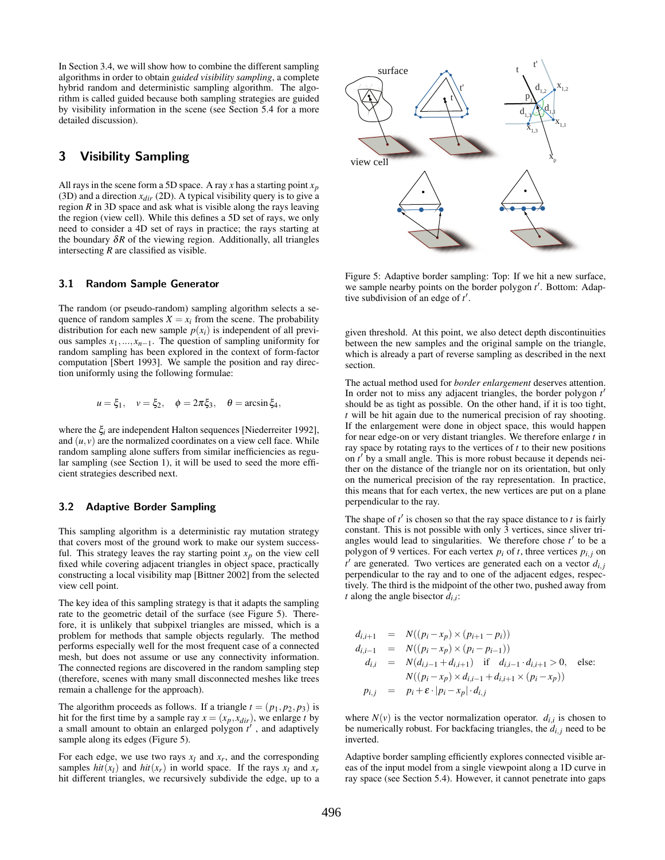In Section 3.4, we will show how to combine the different sampling algorithms in order to obtain *guided visibility sampling*, a complete hybrid random and deterministic sampling algorithm. The algorithm is called guided because both sampling strategies are guided by visibility information in the scene (see Section 5.4 for a more detailed discussion).

## **3 Visibility Sampling**

All rays in the scene form a 5D space. A ray *x* has a starting point *xp* (3D) and a direction  $x_{dir}$  (2D). A typical visibility query is to give a region *R* in 3D space and ask what is visible along the rays leaving the region (view cell). While this defines a 5D set of rays, we only need to consider a 4D set of rays in practice; the rays starting at the boundary  $\delta R$  of the viewing region. Additionally, all triangles intersecting *R* are classified as visible.

#### **3.1 Random Sample Generator**

The random (or pseudo-random) sampling algorithm selects a sequence of random samples  $X = x_i$  from the scene. The probability distribution for each new sample  $p(x_i)$  is independent of all previous samples  $x_1, \ldots, x_{n-1}$ . The question of sampling uniformity for random sampling has been explored in the context of form-factor computation [Sbert 1993]. We sample the position and ray direction uniformly using the following formulae:

$$
u = \xi_1, \quad v = \xi_2, \quad \phi = 2\pi\xi_3, \quad \theta = \arcsin \xi_4,
$$

where the ξ*i* are independent Halton sequences [Niederreiter 1992], and  $(u, v)$  are the normalized coordinates on a view cell face. While random sampling alone suffers from similar inefficiencies as regular sampling (see Section 1), it will be used to seed the more efficient strategies described next.

#### **3.2 Adaptive Border Sampling**

This sampling algorithm is a deterministic ray mutation strategy that covers most of the ground work to make our system successful. This strategy leaves the ray starting point  $x_p$  on the view cell fixed while covering adjacent triangles in object space, practically constructing a local visibility map [Bittner 2002] from the selected view cell point.

The key idea of this sampling strategy is that it adapts the sampling rate to the geometric detail of the surface (see Figure 5). Therefore, it is unlikely that subpixel triangles are missed, which is a problem for methods that sample objects regularly. The method performs especially well for the most frequent case of a connected mesh, but does not assume or use any connectivity information. The connected regions are discovered in the random sampling step (therefore, scenes with many small disconnected meshes like trees remain a challenge for the approach).

The algorithm proceeds as follows. If a triangle  $t = (p_1, p_2, p_3)$  is hit for the first time by a sample ray  $x = (x_p, x_{dir})$ , we enlarge *t* by a small amount to obtain an enlarged polygon *t* , and adaptively sample along its edges (Figure 5).

For each edge, we use two rays  $x_l$  and  $x_r$ , and the corresponding samples  $hit(x_l)$  and  $hit(x_r)$  in world space. If the rays  $x_l$  and  $x_r$ hit different triangles, we recursively subdivide the edge, up to a



Figure 5: Adaptive border sampling: Top: If we hit a new surface, we sample nearby points on the border polygon  $t'$ . Bottom: Adaptive subdivision of an edge of *t* .

given threshold. At this point, we also detect depth discontinuities between the new samples and the original sample on the triangle, which is already a part of reverse sampling as described in the next section.

The actual method used for *border enlargement* deserves attention. In order not to miss any adjacent triangles, the border polygon *t* should be as tight as possible. On the other hand, if it is too tight, *t* will be hit again due to the numerical precision of ray shooting. If the enlargement were done in object space, this would happen for near edge-on or very distant triangles. We therefore enlarge *t* in ray space by rotating rays to the vertices of *t* to their new positions on *t* by a small angle. This is more robust because it depends neither on the distance of the triangle nor on its orientation, but only on the numerical precision of the ray representation. In practice, this means that for each vertex, the new vertices are put on a plane perpendicular to the ray.

The shape of  $t'$  is chosen so that the ray space distance to  $t$  is fairly constant. This is not possible with only 3 vertices, since sliver triangles would lead to singularities. We therefore chose  $t'$  to be a polygon of 9 vertices. For each vertex  $p_i$  of  $t$ , three vertices  $p_{i,j}$  on *t* are generated. Two vertices are generated each on a vector *di, <sup>j</sup>* perpendicular to the ray and to one of the adjacent edges, respectively. The third is the midpoint of the other two, pushed away from *t* along the angle bisector  $d_{i,i}$ :

$$
d_{i,i+1} = N((p_i - x_p) \times (p_{i+1} - p_i))
$$
  
\n
$$
d_{i,i-1} = N((p_i - x_p) \times (p_i - p_{i-1}))
$$
  
\n
$$
d_{i,i} = N(d_{i,i-1} + d_{i,i+1}) \text{ if } d_{i,i-1} \cdot d_{i,i+1} > 0, \text{ else:}
$$
  
\n
$$
N((p_i - x_p) \times d_{i,i-1} + d_{i,i+1} \times (p_i - x_p))
$$
  
\n
$$
p_{i,j} = p_i + \varepsilon \cdot |p_i - x_p| \cdot d_{i,j}
$$

where  $N(v)$  is the vector normalization operator.  $d_{i,i}$  is chosen to be numerically robust. For backfacing triangles, the  $d_{i,j}$  need to be inverted.

Adaptive border sampling efficiently explores connected visible areas of the input model from a single viewpoint along a 1D curve in ray space (see Section 5.4). However, it cannot penetrate into gaps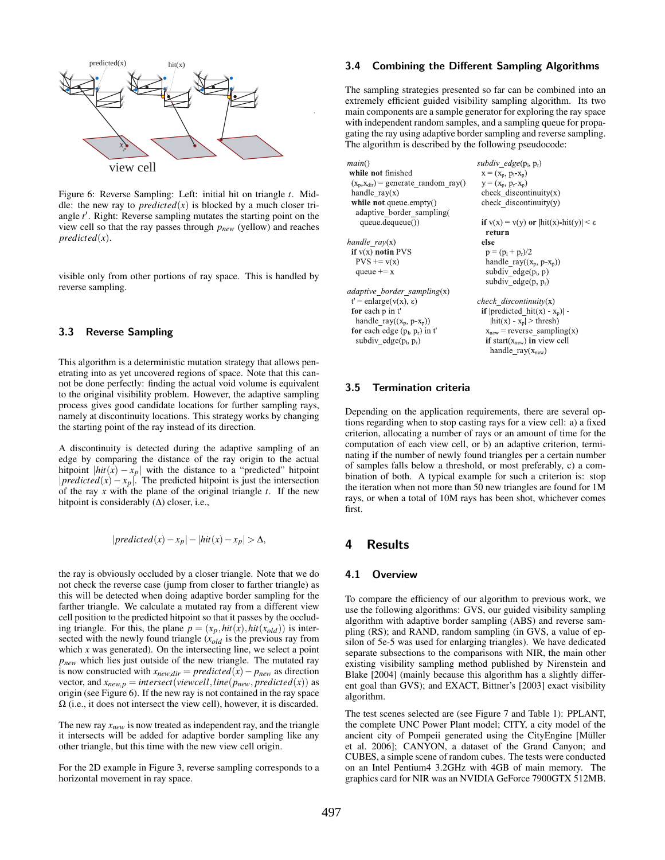

Figure 6: Reverse Sampling: Left: initial hit on triangle *t*. Middle: the new ray to *predicted* $(x)$  is blocked by a much closer triangle *t* . Right: Reverse sampling mutates the starting point on the view cell so that the ray passes through *pnew* (yellow) and reaches *predicted*(*x*).

visible only from other portions of ray space. This is handled by reverse sampling.

#### **3.3 Reverse Sampling**

This algorithm is a deterministic mutation strategy that allows penetrating into as yet uncovered regions of space. Note that this cannot be done perfectly: finding the actual void volume is equivalent to the original visibility problem. However, the adaptive sampling process gives good candidate locations for further sampling rays, namely at discontinuity locations. This strategy works by changing the starting point of the ray instead of its direction.

A discontinuity is detected during the adaptive sampling of an edge by comparing the distance of the ray origin to the actual hitpoint  $|hit(x) - x_p|$  with the distance to a "predicted" hitpoint |*predicted*(*x*) − *x<sub>p</sub>*|. The predicted hitpoint is just the intersection of the ray *x* with the plane of the original triangle *t*. If the new hitpoint is considerably  $(∆)$  closer, i.e.,

$$
|predicted(x) - x_p| - |hit(x) - x_p| > \Delta,
$$

the ray is obviously occluded by a closer triangle. Note that we do not check the reverse case (jump from closer to farther triangle) as this will be detected when doing adaptive border sampling for the farther triangle. We calculate a mutated ray from a different view cell position to the predicted hitpoint so that it passes by the occluding triangle. For this, the plane  $p = (x_p, hit(x), hit(x_{old}))$  is intersected with the newly found triangle (*xold* is the previous ray from which  $x$  was generated). On the intersecting line, we select a point *pnew* which lies just outside of the new triangle. The mutated ray is now constructed with  $x_{new,dir} = predicted(x) - p_{new}$  as direction vector, and  $x_{new,p} = intersect(viewcell, line(p_{new}, predicted(x))$  as origin (see Figure 6). If the new ray is not contained in the ray space Ω (i.e., it does not intersect the view cell), however, it is discarded.

The new ray  $x_{new}$  is now treated as independent ray, and the triangle it intersects will be added for adaptive border sampling like any other triangle, but this time with the new view cell origin.

For the 2D example in Figure 3, reverse sampling corresponds to a horizontal movement in ray space.

### **3.4 Combining the Different Sampling Algorithms**

The sampling strategies presented so far can be combined into an extremely efficient guided visibility sampling algorithm. Its two main components are a sample generator for exploring the ray space with independent random samples, and a sampling queue for propagating the ray using adaptive border sampling and reverse sampling. The algorithm is described by the following pseudocode:

| ain()                                   | subdiv edge $(p_1, p_r)$                              |  |  |  |  |
|-----------------------------------------|-------------------------------------------------------|--|--|--|--|
| hile not finished                       | $x = (x_n, p_1-x_n)$                                  |  |  |  |  |
| $x_p, x_{dir}$ = generate random ray()  | $y = (x_p, p_r - x_p)$                                |  |  |  |  |
| andle $ray(x)$                          | check discontinuity $(x)$                             |  |  |  |  |
| <b>vhile not</b> queue.empty()          | check discontinuity $(y)$                             |  |  |  |  |
| adaptive border sampling(               |                                                       |  |  |  |  |
| queue.dequeue())                        | if $v(x) = v(y)$ or $ hit(x) - hit(y)  < \varepsilon$ |  |  |  |  |
|                                         | return                                                |  |  |  |  |
| $\n  andle\n  \text{ray}(x)\n$          | else                                                  |  |  |  |  |
| $f v(x)$ notin PVS                      | $p = (p_1 + p_r)/2$                                   |  |  |  |  |
| $PVS \rightarrow v(x)$                  | handle ray( $(x_n, p-x_n)$ )                          |  |  |  |  |
| queue $+= x$                            | subdiv edge $(p_i, p)$                                |  |  |  |  |
|                                         | subdiv edge $(p, p_r)$                                |  |  |  |  |
| laptive border sampling(x)              |                                                       |  |  |  |  |
| $'$ = enlarge( $v(x)$ , $\varepsilon$ ) | check discontinuity $(x)$                             |  |  |  |  |
| or each p in t'                         | if $ predicted hit(x) - xn) $                         |  |  |  |  |
| handle ray( $(x_p, p-x_p)$ )            | $\left  \text{hit}(x) - x_n \right  > \text{thresh}$  |  |  |  |  |
| or each edge $(p_1, p_1)$ in t'         | $xnew$ = reverse sampling(x)                          |  |  |  |  |
| subdiv edge $(p_1, p_r)$                | if start $(xnew)$ in view cell                        |  |  |  |  |
|                                         | handle ray( $x_{\text{new}}$ )                        |  |  |  |  |
|                                         |                                                       |  |  |  |  |

#### **3.5 Termination criteria**

 $m$  $\mathbf{w}$  $\overline{(\ }$  $\mathbf{r}$ 

ha

aa  $t$  $\mathbf f$  $\mathbf f$ 

Depending on the application requirements, there are several options regarding when to stop casting rays for a view cell: a) a fixed criterion, allocating a number of rays or an amount of time for the computation of each view cell, or b) an adaptive criterion, terminating if the number of newly found triangles per a certain number of samples falls below a threshold, or most preferably, c) a combination of both. A typical example for such a criterion is: stop the iteration when not more than 50 new triangles are found for 1M rays, or when a total of 10M rays has been shot, whichever comes first.

### **4 Results**

#### **4.1 Overview**

To compare the efficiency of our algorithm to previous work, we use the following algorithms: GVS, our guided visibility sampling algorithm with adaptive border sampling (ABS) and reverse sampling (RS); and RAND, random sampling (in GVS, a value of epsilon of 5e-5 was used for enlarging triangles). We have dedicated separate subsections to the comparisons with NIR, the main other existing visibility sampling method published by Nirenstein and Blake [2004] (mainly because this algorithm has a slightly different goal than GVS); and EXACT, Bittner's [2003] exact visibility algorithm.

The test scenes selected are (see Figure 7 and Table 1): PPLANT, the complete UNC Power Plant model; CITY, a city model of the ancient city of Pompeii generated using the CityEngine [Müller et al. 2006]; CANYON, a dataset of the Grand Canyon; and CUBES, a simple scene of random cubes. The tests were conducted on an Intel Pentium4 3.2GHz with 4GB of main memory. The graphics card for NIR was an NVIDIA GeForce 7900GTX 512MB.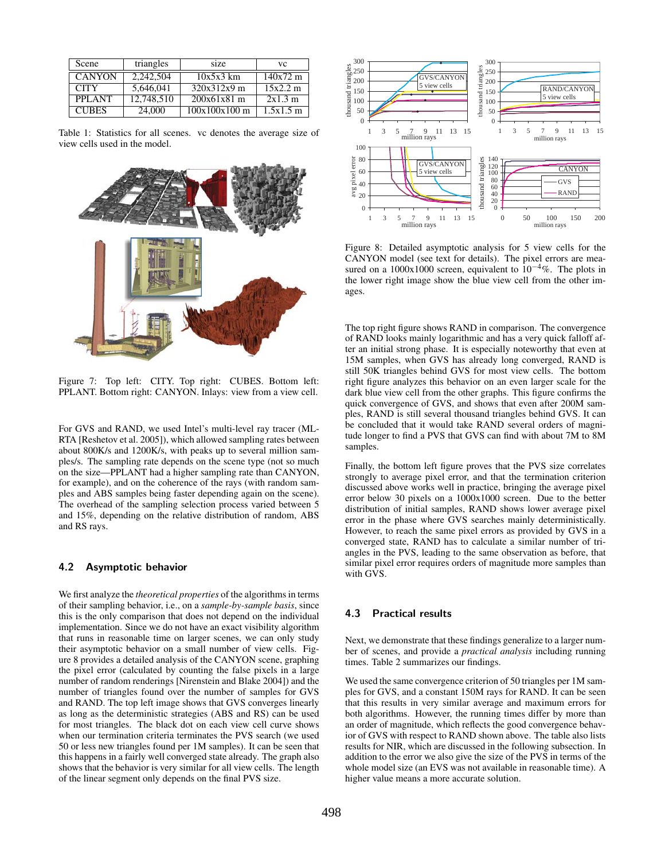| Scene         | triangles  | size            | VC.                |
|---------------|------------|-----------------|--------------------|
| <b>CANYON</b> | 2.242.504  | $10x5x3$ km     | $140x72 \text{ m}$ |
| <b>CITY</b>   | 5,646,041  | 320x312x9 m     | 15x2.2 m           |
| <b>PPLANT</b> | 12,748,510 | $200x61x81$ m   | 2x1.3m             |
| <b>CURES</b>  | 24,000     | $100x100x100$ m | 1.5x1.5m           |

Table 1: Statistics for all scenes. vc denotes the average size of view cells used in the model.



Figure 7: Top left: CITY. Top right: CUBES. Bottom left: PPLANT. Bottom right: CANYON. Inlays: view from a view cell.

For GVS and RAND, we used Intel's multi-level ray tracer (ML-RTA [Reshetov et al. 2005]), which allowed sampling rates between about 800K/s and 1200K/s, with peaks up to several million samples/s. The sampling rate depends on the scene type (not so much on the size—PPLANT had a higher sampling rate than CANYON, for example), and on the coherence of the rays (with random samples and ABS samples being faster depending again on the scene). The overhead of the sampling selection process varied between 5 and 15%, depending on the relative distribution of random, ABS and RS rays.

#### **4.2 Asymptotic behavior**

We first analyze the *theoretical properties* of the algorithms in terms of their sampling behavior, i.e., on a *sample-by-sample basis*, since this is the only comparison that does not depend on the individual implementation. Since we do not have an exact visibility algorithm that runs in reasonable time on larger scenes, we can only study their asymptotic behavior on a small number of view cells. Figure 8 provides a detailed analysis of the CANYON scene, graphing the pixel error (calculated by counting the false pixels in a large number of random renderings [Nirenstein and Blake 2004]) and the number of triangles found over the number of samples for GVS and RAND. The top left image shows that GVS converges linearly as long as the deterministic strategies (ABS and RS) can be used for most triangles. The black dot on each view cell curve shows when our termination criteria terminates the PVS search (we used 50 or less new triangles found per 1M samples). It can be seen that this happens in a fairly well converged state already. The graph also shows that the behavior is very similar for all view cells. The length of the linear segment only depends on the final PVS size.



Figure 8: Detailed asymptotic analysis for 5 view cells for the CANYON model (see text for details). The pixel errors are measured on a 1000x1000 screen, equivalent to  $10^{-4}\%$ . The plots in the lower right image show the blue view cell from the other images.

The top right figure shows RAND in comparison. The convergence of RAND looks mainly logarithmic and has a very quick falloff after an initial strong phase. It is especially noteworthy that even at 15M samples, when GVS has already long converged, RAND is still 50K triangles behind GVS for most view cells. The bottom right figure analyzes this behavior on an even larger scale for the dark blue view cell from the other graphs. This figure confirms the quick convergence of GVS, and shows that even after 200M samples, RAND is still several thousand triangles behind GVS. It can be concluded that it would take RAND several orders of magnitude longer to find a PVS that GVS can find with about 7M to 8M samples.

Finally, the bottom left figure proves that the PVS size correlates strongly to average pixel error, and that the termination criterion discussed above works well in practice, bringing the average pixel error below 30 pixels on a 1000x1000 screen. Due to the better distribution of initial samples, RAND shows lower average pixel error in the phase where GVS searches mainly deterministically. However, to reach the same pixel errors as provided by GVS in a converged state, RAND has to calculate a similar number of triangles in the PVS, leading to the same observation as before, that similar pixel error requires orders of magnitude more samples than with GVS.

### **4.3 Practical results**

Next, we demonstrate that these findings generalize to a larger number of scenes, and provide a *practical analysis* including running times. Table 2 summarizes our findings.

We used the same convergence criterion of 50 triangles per 1M samples for GVS, and a constant 150M rays for RAND. It can be seen that this results in very similar average and maximum errors for both algorithms. However, the running times differ by more than an order of magnitude, which reflects the good convergence behavior of GVS with respect to RAND shown above. The table also lists results for NIR, which are discussed in the following subsection. In addition to the error we also give the size of the PVS in terms of the whole model size (an EVS was not available in reasonable time). A higher value means a more accurate solution.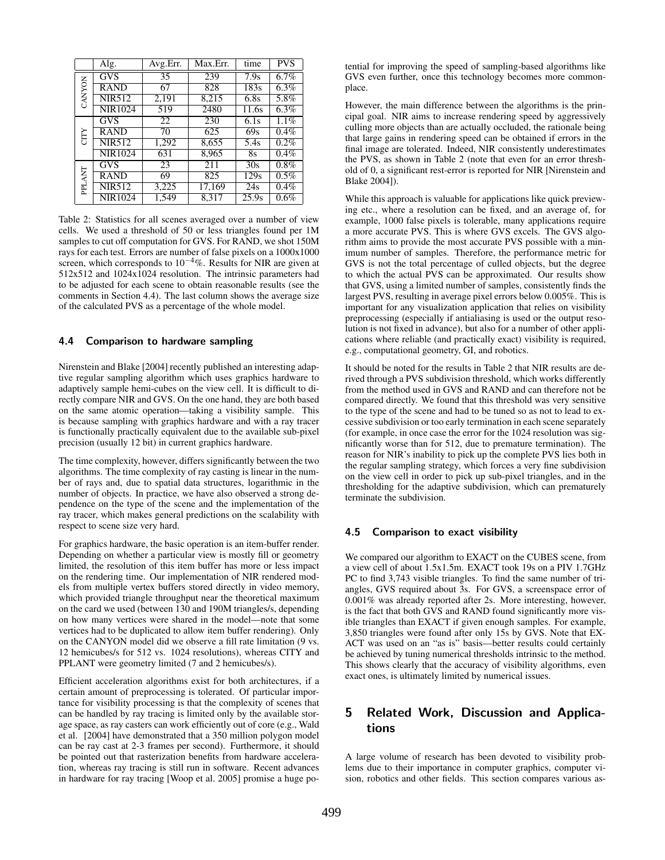|               | Alg.           | Avg.Err.        | Max.Err. | time               | <b>PVS</b> |
|---------------|----------------|-----------------|----------|--------------------|------------|
| CANYON        | <b>GVS</b>     | 35              | 239      | 7.9s               | 6.7%       |
|               | <b>RAND</b>    | 67              | 828      | 183s               | $6.3\%$    |
|               | <b>NIR512</b>  | 2,191           | 8,215    | 6.8s               | 5.8%       |
|               | <b>NIR1024</b> | 519             | 2480     | $\overline{11.6s}$ | $6.3\%$    |
| CITY          | <b>GVS</b>     | $\overline{22}$ | 230      | 6.1s               | 1.1%       |
|               | <b>RAND</b>    | 70              | 625      | 69s                | $0.4\%$    |
|               | <b>NIR512</b>  | 1,292           | 8,655    | 5.4s               | 0.2%       |
|               | <b>NIR1024</b> | 631             | 8,965    | 8s                 | 0.4%       |
| <b>PPLANT</b> | <b>GVS</b>     | 23              | 211      | 30s                | $0.8\%$    |
|               | <b>RAND</b>    | 69              | 825      | 129s               | $0.5\%$    |
|               | <b>NIR512</b>  | 3,225           | 17,169   | 24s                | 0.4%       |
|               | <b>NIR1024</b> | 1,549           | 8,317    | 25.9s              | 0.6%       |

Table 2: Statistics for all scenes averaged over a number of view cells. We used a threshold of 50 or less triangles found per 1M samples to cut off computation for GVS. For RAND, we shot 150M rays for each test. Errors are number of false pixels on a 1000x1000 screen, which corresponds to  $10^{-4}$ %. Results for NIR are given at 512x512 and 1024x1024 resolution. The intrinsic parameters had to be adjusted for each scene to obtain reasonable results (see the comments in Section 4.4). The last column shows the average size of the calculated PVS as a percentage of the whole model.

#### **4.4 Comparison to hardware sampling**

Nirenstein and Blake [2004] recently published an interesting adaptive regular sampling algorithm which uses graphics hardware to adaptively sample hemi-cubes on the view cell. It is difficult to directly compare NIR and GVS. On the one hand, they are both based on the same atomic operation—taking a visibility sample. This is because sampling with graphics hardware and with a ray tracer is functionally practically equivalent due to the available sub-pixel precision (usually 12 bit) in current graphics hardware.

The time complexity, however, differs significantly between the two algorithms. The time complexity of ray casting is linear in the number of rays and, due to spatial data structures, logarithmic in the number of objects. In practice, we have also observed a strong dependence on the type of the scene and the implementation of the ray tracer, which makes general predictions on the scalability with respect to scene size very hard.

For graphics hardware, the basic operation is an item-buffer render. Depending on whether a particular view is mostly fill or geometry limited, the resolution of this item buffer has more or less impact on the rendering time. Our implementation of NIR rendered models from multiple vertex buffers stored directly in video memory, which provided triangle throughput near the theoretical maximum on the card we used (between 130 and 190M triangles/s, depending on how many vertices were shared in the model—note that some vertices had to be duplicated to allow item buffer rendering). Only on the CANYON model did we observe a fill rate limitation (9 vs. 12 hemicubes/s for 512 vs. 1024 resolutions), whereas CITY and PPLANT were geometry limited (7 and 2 hemicubes/s).

Efficient acceleration algorithms exist for both architectures, if a certain amount of preprocessing is tolerated. Of particular importance for visibility processing is that the complexity of scenes that can be handled by ray tracing is limited only by the available storage space, as ray casters can work efficiently out of core (e.g., Wald et al. [2004] have demonstrated that a 350 million polygon model can be ray cast at 2-3 frames per second). Furthermore, it should be pointed out that rasterization benefits from hardware acceleration, whereas ray tracing is still run in software. Recent advances in hardware for ray tracing [Woop et al. 2005] promise a huge potential for improving the speed of sampling-based algorithms like GVS even further, once this technology becomes more commonplace.

However, the main difference between the algorithms is the principal goal. NIR aims to increase rendering speed by aggressively culling more objects than are actually occluded, the rationale being that large gains in rendering speed can be obtained if errors in the final image are tolerated. Indeed, NIR consistently underestimates the PVS, as shown in Table 2 (note that even for an error threshold of 0, a significant rest-error is reported for NIR [Nirenstein and Blake 2004]).

While this approach is valuable for applications like quick previewing etc., where a resolution can be fixed, and an average of, for example, 1000 false pixels is tolerable, many applications require a more accurate PVS. This is where GVS excels. The GVS algorithm aims to provide the most accurate PVS possible with a minimum number of samples. Therefore, the performance metric for GVS is not the total percentage of culled objects, but the degree to which the actual PVS can be approximated. Our results show that GVS, using a limited number of samples, consistently finds the largest PVS, resulting in average pixel errors below 0.005%. This is important for any visualization application that relies on visibility preprocessing (especially if antialiasing is used or the output resolution is not fixed in advance), but also for a number of other applications where reliable (and practically exact) visibility is required, e.g., computational geometry, GI, and robotics.

It should be noted for the results in Table 2 that NIR results are derived through a PVS subdivision threshold, which works differently from the method used in GVS and RAND and can therefore not be compared directly. We found that this threshold was very sensitive to the type of the scene and had to be tuned so as not to lead to excessive subdivision or too early termination in each scene separately (for example, in once case the error for the 1024 resolution was significantly worse than for 512, due to premature termination). The reason for NIR's inability to pick up the complete PVS lies both in the regular sampling strategy, which forces a very fine subdivision on the view cell in order to pick up sub-pixel triangles, and in the thresholding for the adaptive subdivision, which can prematurely terminate the subdivision.

#### **4.5 Comparison to exact visibility**

We compared our algorithm to EXACT on the CUBES scene, from a view cell of about 1.5x1.5m. EXACT took 19s on a PIV 1.7GHz PC to find 3,743 visible triangles. To find the same number of triangles, GVS required about 3s. For GVS, a screenspace error of 0.001% was already reported after 2s. More interesting, however, is the fact that both GVS and RAND found significantly more visible triangles than EXACT if given enough samples. For example, 3,850 triangles were found after only 15s by GVS. Note that EX-ACT was used on an "as is" basis—better results could certainly be achieved by tuning numerical thresholds intrinsic to the method. This shows clearly that the accuracy of visibility algorithms, even exact ones, is ultimately limited by numerical issues.

### **5 Related Work, Discussion and Applications**

A large volume of research has been devoted to visibility problems due to their importance in computer graphics, computer vision, robotics and other fields. This section compares various as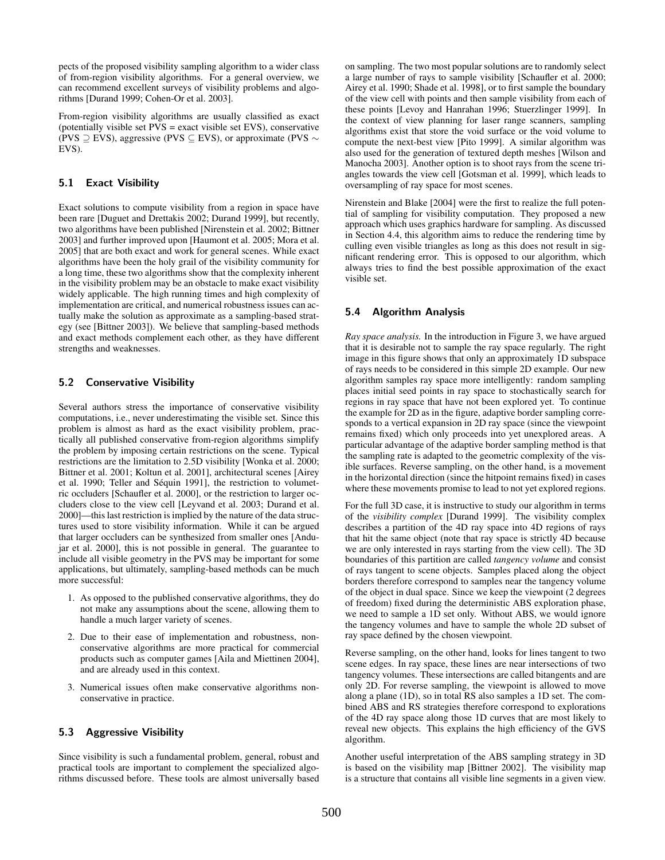pects of the proposed visibility sampling algorithm to a wider class of from-region visibility algorithms. For a general overview, we can recommend excellent surveys of visibility problems and algorithms [Durand 1999; Cohen-Or et al. 2003].

From-region visibility algorithms are usually classified as exact (potentially visible set  $PVS =$  exact visible set  $EVS$ ), conservative (PVS  $\supseteq$  EVS), aggressive (PVS  $\subseteq$  EVS), or approximate (PVS  $\sim$ EVS).

### **5.1 Exact Visibility**

Exact solutions to compute visibility from a region in space have been rare [Duguet and Drettakis 2002; Durand 1999], but recently, two algorithms have been published [Nirenstein et al. 2002; Bittner 2003] and further improved upon [Haumont et al. 2005; Mora et al. 2005] that are both exact and work for general scenes. While exact algorithms have been the holy grail of the visibility community for a long time, these two algorithms show that the complexity inherent in the visibility problem may be an obstacle to make exact visibility widely applicable. The high running times and high complexity of implementation are critical, and numerical robustness issues can actually make the solution as approximate as a sampling-based strategy (see [Bittner 2003]). We believe that sampling-based methods and exact methods complement each other, as they have different strengths and weaknesses.

#### **5.2 Conservative Visibility**

Several authors stress the importance of conservative visibility computations, i.e., never underestimating the visible set. Since this problem is almost as hard as the exact visibility problem, practically all published conservative from-region algorithms simplify the problem by imposing certain restrictions on the scene. Typical restrictions are the limitation to 2.5D visibility [Wonka et al. 2000; Bittner et al. 2001; Koltun et al. 2001], architectural scenes [Airey et al. 1990; Teller and Séquin 1991], the restriction to volumetric occluders [Schaufler et al. 2000], or the restriction to larger occluders close to the view cell [Leyvand et al. 2003; Durand et al. 2000]—this last restriction is implied by the nature of the data structures used to store visibility information. While it can be argued that larger occluders can be synthesized from smaller ones [Andujar et al. 2000], this is not possible in general. The guarantee to include all visible geometry in the PVS may be important for some applications, but ultimately, sampling-based methods can be much more successful:

- 1. As opposed to the published conservative algorithms, they do not make any assumptions about the scene, allowing them to handle a much larger variety of scenes.
- 2. Due to their ease of implementation and robustness, nonconservative algorithms are more practical for commercial products such as computer games [Aila and Miettinen 2004], and are already used in this context.
- 3. Numerical issues often make conservative algorithms nonconservative in practice.

#### **5.3 Aggressive Visibility**

Since visibility is such a fundamental problem, general, robust and practical tools are important to complement the specialized algorithms discussed before. These tools are almost universally based on sampling. The two most popular solutions are to randomly select a large number of rays to sample visibility [Schaufler et al. 2000; Airey et al. 1990; Shade et al. 1998], or to first sample the boundary of the view cell with points and then sample visibility from each of these points [Levoy and Hanrahan 1996; Stuerzlinger 1999]. In the context of view planning for laser range scanners, sampling algorithms exist that store the void surface or the void volume to compute the next-best view [Pito 1999]. A similar algorithm was also used for the generation of textured depth meshes [Wilson and Manocha 2003]. Another option is to shoot rays from the scene triangles towards the view cell [Gotsman et al. 1999], which leads to oversampling of ray space for most scenes.

Nirenstein and Blake [2004] were the first to realize the full potential of sampling for visibility computation. They proposed a new approach which uses graphics hardware for sampling. As discussed in Section 4.4, this algorithm aims to reduce the rendering time by culling even visible triangles as long as this does not result in significant rendering error. This is opposed to our algorithm, which always tries to find the best possible approximation of the exact visible set.

#### **5.4 Algorithm Analysis**

*Ray space analysis.* In the introduction in Figure 3, we have argued that it is desirable not to sample the ray space regularly. The right image in this figure shows that only an approximately 1D subspace of rays needs to be considered in this simple 2D example. Our new algorithm samples ray space more intelligently: random sampling places initial seed points in ray space to stochastically search for regions in ray space that have not been explored yet. To continue the example for 2D as in the figure, adaptive border sampling corresponds to a vertical expansion in 2D ray space (since the viewpoint remains fixed) which only proceeds into yet unexplored areas. A particular advantage of the adaptive border sampling method is that the sampling rate is adapted to the geometric complexity of the visible surfaces. Reverse sampling, on the other hand, is a movement in the horizontal direction (since the hitpoint remains fixed) in cases where these movements promise to lead to not yet explored regions.

For the full 3D case, it is instructive to study our algorithm in terms of the *visibility complex* [Durand 1999]. The visibility complex describes a partition of the 4D ray space into 4D regions of rays that hit the same object (note that ray space is strictly 4D because we are only interested in rays starting from the view cell). The 3D boundaries of this partition are called *tangency volume* and consist of rays tangent to scene objects. Samples placed along the object borders therefore correspond to samples near the tangency volume of the object in dual space. Since we keep the viewpoint (2 degrees of freedom) fixed during the deterministic ABS exploration phase, we need to sample a 1D set only. Without ABS, we would ignore the tangency volumes and have to sample the whole 2D subset of ray space defined by the chosen viewpoint.

Reverse sampling, on the other hand, looks for lines tangent to two scene edges. In ray space, these lines are near intersections of two tangency volumes. These intersections are called bitangents and are only 2D. For reverse sampling, the viewpoint is allowed to move along a plane (1D), so in total RS also samples a 1D set. The combined ABS and RS strategies therefore correspond to explorations of the 4D ray space along those 1D curves that are most likely to reveal new objects. This explains the high efficiency of the GVS algorithm.

Another useful interpretation of the ABS sampling strategy in 3D is based on the visibility map [Bittner 2002]. The visibility map is a structure that contains all visible line segments in a given view.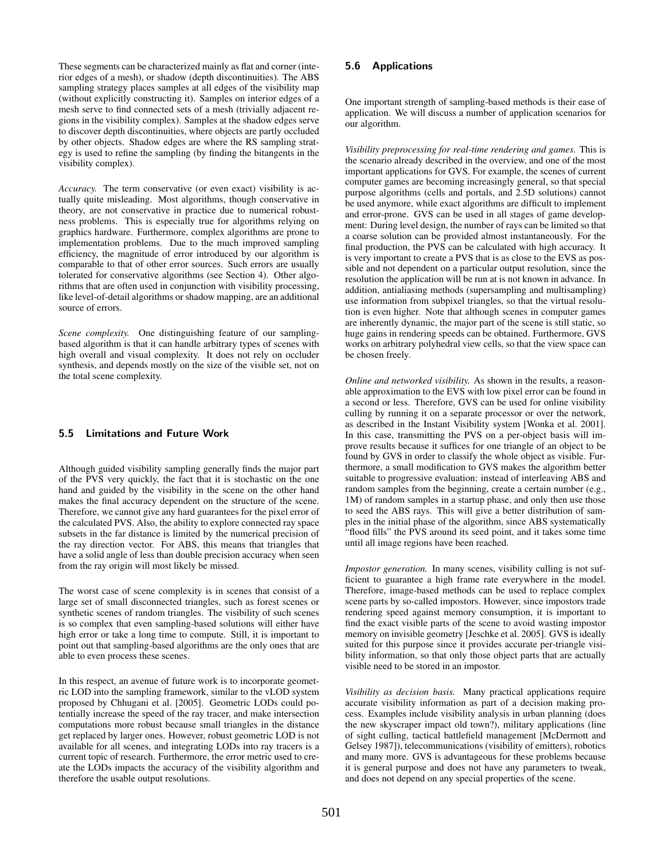These segments can be characterized mainly as flat and corner (interior edges of a mesh), or shadow (depth discontinuities). The ABS sampling strategy places samples at all edges of the visibility map (without explicitly constructing it). Samples on interior edges of a mesh serve to find connected sets of a mesh (trivially adjacent regions in the visibility complex). Samples at the shadow edges serve to discover depth discontinuities, where objects are partly occluded by other objects. Shadow edges are where the RS sampling strategy is used to refine the sampling (by finding the bitangents in the visibility complex).

*Accuracy.* The term conservative (or even exact) visibility is actually quite misleading. Most algorithms, though conservative in theory, are not conservative in practice due to numerical robustness problems. This is especially true for algorithms relying on graphics hardware. Furthermore, complex algorithms are prone to implementation problems. Due to the much improved sampling efficiency, the magnitude of error introduced by our algorithm is comparable to that of other error sources. Such errors are usually tolerated for conservative algorithms (see Section 4). Other algorithms that are often used in conjunction with visibility processing, like level-of-detail algorithms or shadow mapping, are an additional source of errors.

*Scene complexity.* One distinguishing feature of our samplingbased algorithm is that it can handle arbitrary types of scenes with high overall and visual complexity. It does not rely on occluder synthesis, and depends mostly on the size of the visible set, not on the total scene complexity.

### **5.5 Limitations and Future Work**

Although guided visibility sampling generally finds the major part of the PVS very quickly, the fact that it is stochastic on the one hand and guided by the visibility in the scene on the other hand makes the final accuracy dependent on the structure of the scene. Therefore, we cannot give any hard guarantees for the pixel error of the calculated PVS. Also, the ability to explore connected ray space subsets in the far distance is limited by the numerical precision of the ray direction vector. For ABS, this means that triangles that have a solid angle of less than double precision accuracy when seen from the ray origin will most likely be missed.

The worst case of scene complexity is in scenes that consist of a large set of small disconnected triangles, such as forest scenes or synthetic scenes of random triangles. The visibility of such scenes is so complex that even sampling-based solutions will either have high error or take a long time to compute. Still, it is important to point out that sampling-based algorithms are the only ones that are able to even process these scenes.

In this respect, an avenue of future work is to incorporate geometric LOD into the sampling framework, similar to the vLOD system proposed by Chhugani et al. [2005]. Geometric LODs could potentially increase the speed of the ray tracer, and make intersection computations more robust because small triangles in the distance get replaced by larger ones. However, robust geometric LOD is not available for all scenes, and integrating LODs into ray tracers is a current topic of research. Furthermore, the error metric used to create the LODs impacts the accuracy of the visibility algorithm and therefore the usable output resolutions.

### **5.6 Applications**

One important strength of sampling-based methods is their ease of application. We will discuss a number of application scenarios for our algorithm.

*Visibility preprocessing for real-time rendering and games.* This is the scenario already described in the overview, and one of the most important applications for GVS. For example, the scenes of current computer games are becoming increasingly general, so that special purpose algorithms (cells and portals, and 2.5D solutions) cannot be used anymore, while exact algorithms are difficult to implement and error-prone. GVS can be used in all stages of game development: During level design, the number of rays can be limited so that a coarse solution can be provided almost instantaneously. For the final production, the PVS can be calculated with high accuracy. It is very important to create a PVS that is as close to the EVS as possible and not dependent on a particular output resolution, since the resolution the application will be run at is not known in advance. In addition, antialiasing methods (supersampling and multisampling) use information from subpixel triangles, so that the virtual resolution is even higher. Note that although scenes in computer games are inherently dynamic, the major part of the scene is still static, so huge gains in rendering speeds can be obtained. Furthermore, GVS works on arbitrary polyhedral view cells, so that the view space can be chosen freely.

*Online and networked visibility.* As shown in the results, a reasonable approximation to the EVS with low pixel error can be found in a second or less. Therefore, GVS can be used for online visibility culling by running it on a separate processor or over the network, as described in the Instant Visibility system [Wonka et al. 2001]. In this case, transmitting the PVS on a per-object basis will improve results because it suffices for one triangle of an object to be found by GVS in order to classify the whole object as visible. Furthermore, a small modification to GVS makes the algorithm better suitable to progressive evaluation: instead of interleaving ABS and random samples from the beginning, create a certain number (e.g., 1M) of random samples in a startup phase, and only then use those to seed the ABS rays. This will give a better distribution of samples in the initial phase of the algorithm, since ABS systematically "flood fills" the PVS around its seed point, and it takes some time until all image regions have been reached.

*Impostor generation.* In many scenes, visibility culling is not sufficient to guarantee a high frame rate everywhere in the model. Therefore, image-based methods can be used to replace complex scene parts by so-called impostors. However, since impostors trade rendering speed against memory consumption, it is important to find the exact visible parts of the scene to avoid wasting impostor memory on invisible geometry [Jeschke et al. 2005]. GVS is ideally suited for this purpose since it provides accurate per-triangle visibility information, so that only those object parts that are actually visible need to be stored in an impostor.

*Visibility as decision basis.* Many practical applications require accurate visibility information as part of a decision making process. Examples include visibility analysis in urban planning (does the new skyscraper impact old town?), military applications (line of sight culling, tactical battlefield management [McDermott and Gelsey 1987]), telecommunications (visibility of emitters), robotics and many more. GVS is advantageous for these problems because it is general purpose and does not have any parameters to tweak, and does not depend on any special properties of the scene.